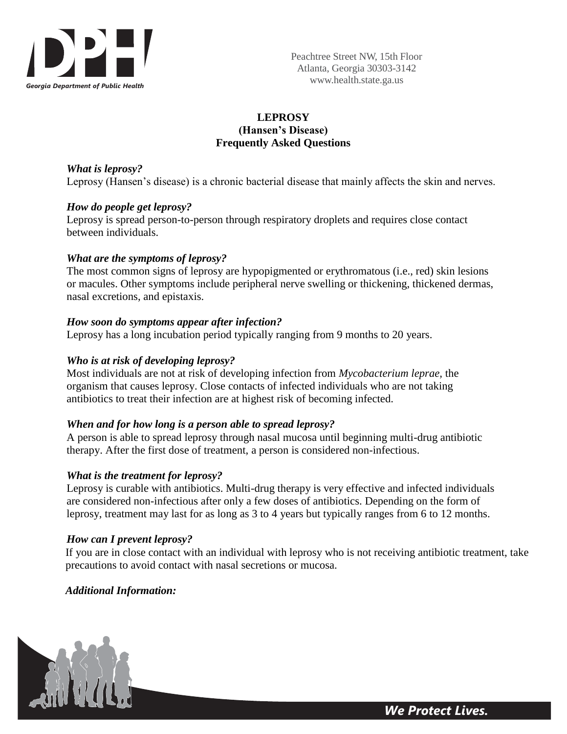

## **LEPROSY (Hansen's Disease) Frequently Asked Questions**

*What is leprosy?*

Leprosy (Hansen's disease) is a chronic bacterial disease that mainly affects the skin and nerves.

## *How do people get leprosy?*

Leprosy is spread person-to-person through respiratory droplets and requires close contact between individuals.

## *What are the symptoms of leprosy?*

The most common signs of leprosy are hypopigmented or erythromatous (i.e., red) skin lesions or macules. Other symptoms include peripheral nerve swelling or thickening, thickened dermas, nasal excretions, and epistaxis.

## *How soon do symptoms appear after infection?*

Leprosy has a long incubation period typically ranging from 9 months to 20 years.

## *Who is at risk of developing leprosy?*

Most individuals are not at risk of developing infection from *Mycobacterium leprae,* the organism that causes leprosy. Close contacts of infected individuals who are not taking antibiotics to treat their infection are at highest risk of becoming infected.

## *When and for how long is a person able to spread leprosy?*

A person is able to spread leprosy through nasal mucosa until beginning multi-drug antibiotic therapy. After the first dose of treatment, a person is considered non-infectious.

## *What is the treatment for leprosy?*

Leprosy is curable with antibiotics. Multi-drug therapy is very effective and infected individuals are considered non-infectious after only a few doses of antibiotics. Depending on the form of leprosy, treatment may last for as long as 3 to 4 years but typically ranges from 6 to 12 months.

# *How can I prevent leprosy?*

If you are in close contact with an individual with leprosy who is not receiving antibiotic treatment, take precautions to avoid contact with nasal secretions or mucosa.

*Additional Information:*